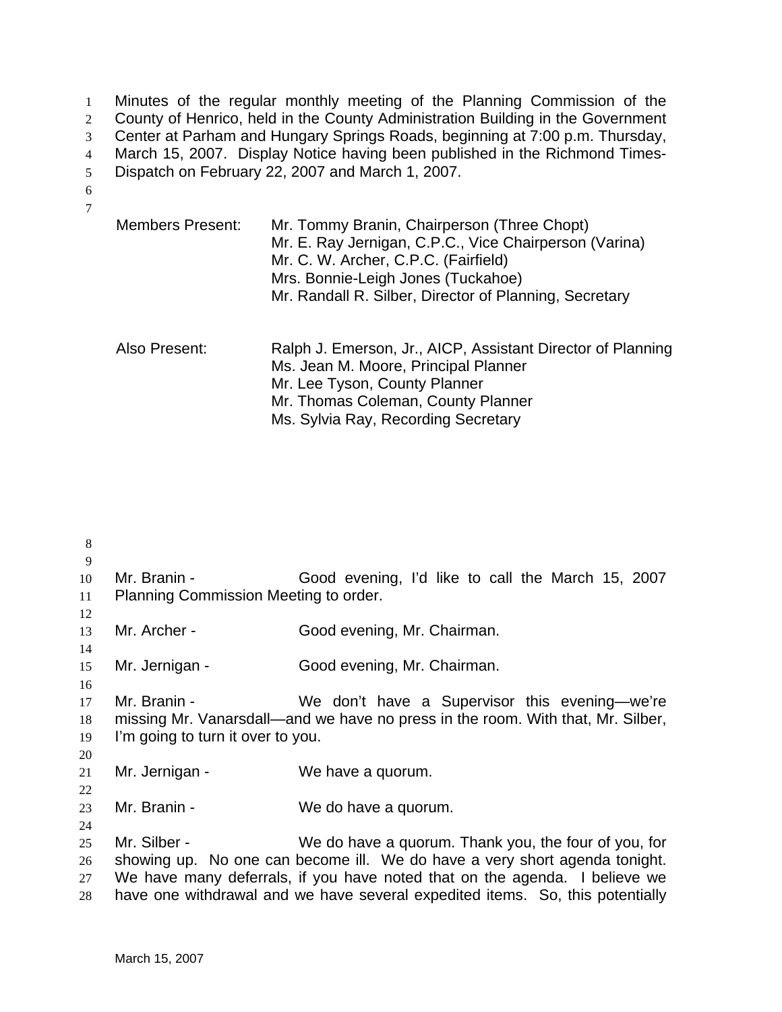Minutes of the regular monthly meeting of the Planning Commission of the 2 County of Henrico, held in the County Administration Building in the Government Center at Parham and Hungary Springs Roads, beginning at 7:00 p.m. Thursday, March 15, 2007. Display Notice having been published in the Richmond Times-Dispatch on February 22, 2007 and March 1, 2007. 6

7

| <b>Members Present:</b> | Mr. Tommy Branin, Chairperson (Three Chopt)<br>Mr. E. Ray Jernigan, C.P.C., Vice Chairperson (Varina)<br>Mr. C. W. Archer, C.P.C. (Fairfield)<br>Mrs. Bonnie-Leigh Jones (Tuckahoe)<br>Mr. Randall R. Silber, Director of Planning, Secretary |
|-------------------------|-----------------------------------------------------------------------------------------------------------------------------------------------------------------------------------------------------------------------------------------------|
| Also Present:           | Ralph J. Emerson, Jr., AICP, Assistant Director of Planning<br>Ms. Jean M. Moore, Principal Planner<br>Mr. Lee Tyson, County Planner<br>Mr. Thomas Coleman, County Planner<br>Ms. Sylvia Ray, Recording Secretary                             |

8 9 10 Mr. Branin - Good evening, I'd like to call the March 15, 2007 11 Planning Commission Meeting to order. 12 13 Mr. Archer - Good evening, Mr. Chairman. 14 15 Mr. Jernigan - Good evening, Mr. Chairman. 16 17 Mr. Branin - We don't have a Supervisor this evening—we're 18 missing Mr. Vanarsdall—and we have no press in the room. With that, Mr. Silber, 19 I'm going to turn it over to you. 20 21 Mr. Jernigan - We have a quorum. 22 23 Mr. Branin - We do have a quorum. 24 25 Mr. Silber - We do have a quorum. Thank you, the four of you, for 26 showing up. No one can become ill. We do have a very short agenda tonight. 27 We have many deferrals, if you have noted that on the agenda. I believe we 28 have one withdrawal and we have several expedited items. So, this potentially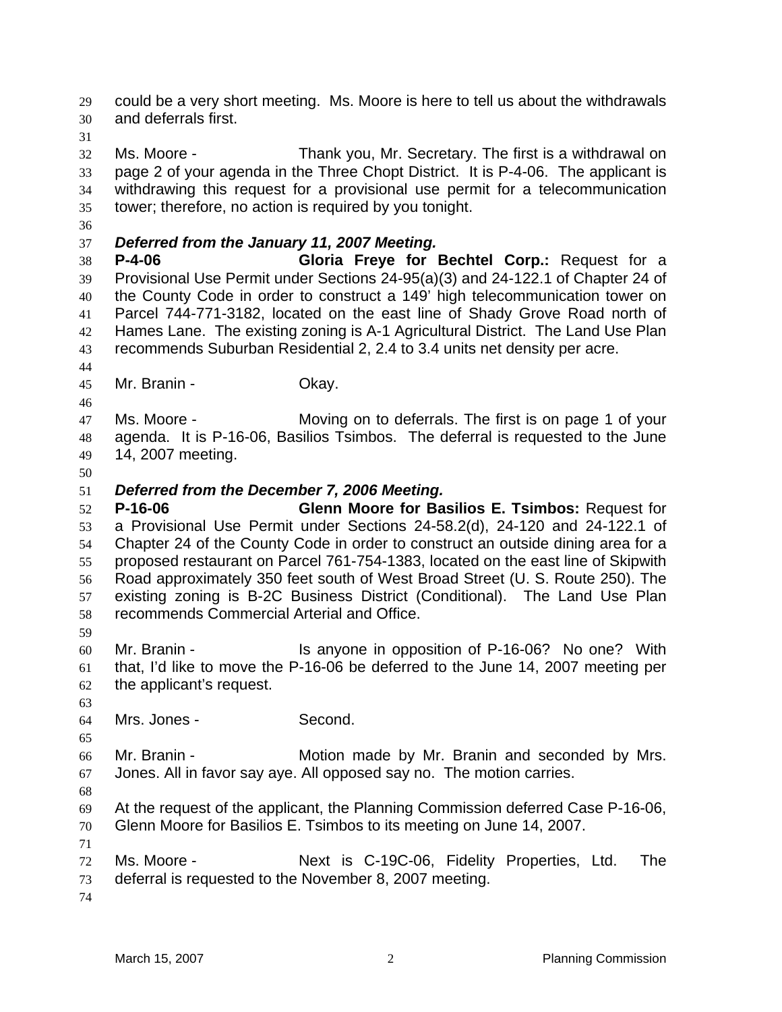and deferrals first. Ms. Moore - Thank you, Mr. Secretary. The first is a withdrawal on page 2 of your agenda in the Three Chopt District. It is P-4-06. The applicant is withdrawing this request for a provisional use permit for a telecommunication tower; therefore, no action is required by you tonight. *Deferred from the January 11, 2007 Meeting.*  **P-4-06 Gloria Freye for Bechtel Corp.:** Request for a Provisional Use Permit under Sections 24-95(a)(3) and 24-122.1 of Chapter 24 of the County Code in order to construct a 149' high telecommunication tower on Parcel 744-771-3182, located on the east line of Shady Grove Road north of Hames Lane. The existing zoning is A-1 Agricultural District. The Land Use Plan recommends Suburban Residential 2, 2.4 to 3.4 units net density per acre. Mr. Branin - Okay. Ms. Moore - Moving on to deferrals. The first is on page 1 of your agenda. It is P-16-06, Basilios Tsimbos. The deferral is requested to the June 14, 2007 meeting. *Deferred from the December 7, 2006 Meeting.*  **P-16-06 Glenn Moore for Basilios E. Tsimbos:** Request for a Provisional Use Permit under Sections 24-58.2(d), 24-120 and 24-122.1 of Chapter 24 of the County Code in order to construct an outside dining area for a proposed restaurant on Parcel 761-754-1383, located on the east line of Skipwith Road approximately 350 feet south of West Broad Street (U. S. Route 250). The existing zoning is B-2C Business District (Conditional). The Land Use Plan recommends Commercial Arterial and Office. Mr. Branin - Is anyone in opposition of P-16-06? No one? With that, I'd like to move the P-16-06 be deferred to the June 14, 2007 meeting per the applicant's request. Mrs. Jones - Second. Mr. Branin - Motion made by Mr. Branin and seconded by Mrs. Jones. All in favor say aye. All opposed say no. The motion carries. At the request of the applicant, the Planning Commission deferred Case P-16-06, Glenn Moore for Basilios E. Tsimbos to its meeting on June 14, 2007. Ms. Moore - Next is C-19C-06, Fidelity Properties, Ltd. The deferral is requested to the November 8, 2007 meeting.

could be a very short meeting. Ms. Moore is here to tell us about the withdrawals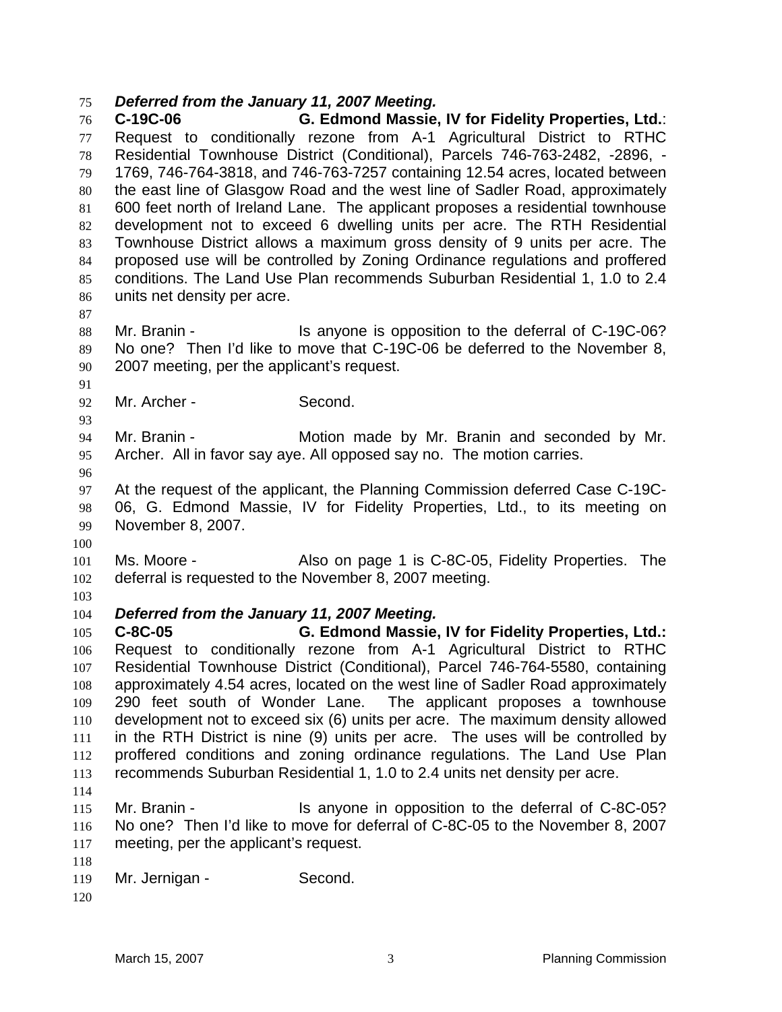## *Deferred from the January 11, 2007 Meeting.*

**C-19C-06 G. Edmond Massie, IV for Fidelity Properties, Ltd.**: Request to conditionally rezone from A-1 Agricultural District to RTHC Residential Townhouse District (Conditional), Parcels 746-763-2482, -2896, - 1769, 746-764-3818, and 746-763-7257 containing 12.54 acres, located between the east line of Glasgow Road and the west line of Sadler Road, approximately 600 feet north of Ireland Lane. The applicant proposes a residential townhouse development not to exceed 6 dwelling units per acre. The RTH Residential Townhouse District allows a maximum gross density of 9 units per acre. The proposed use will be controlled by Zoning Ordinance regulations and proffered conditions. The Land Use Plan recommends Suburban Residential 1, 1.0 to 2.4 units net density per acre.

88 Mr. Branin - Is anyone is opposition to the deferral of C-19C-06? No one? Then I'd like to move that C-19C-06 be deferred to the November 8, 2007 meeting, per the applicant's request.

Mr. Archer - Second.

Mr. Branin - Motion made by Mr. Branin and seconded by Mr. Archer. All in favor say aye. All opposed say no. The motion carries.

At the request of the applicant, the Planning Commission deferred Case C-19C-06, G. Edmond Massie, IV for Fidelity Properties, Ltd., to its meeting on November 8, 2007.

Ms. Moore - Also on page 1 is C-8C-05, Fidelity Properties. The deferral is requested to the November 8, 2007 meeting.

*Deferred from the January 11, 2007 Meeting.*

**C-8C-05 G. Edmond Massie, IV for Fidelity Properties, Ltd.:**  Request to conditionally rezone from A-1 Agricultural District to RTHC Residential Townhouse District (Conditional), Parcel 746-764-5580, containing approximately 4.54 acres, located on the west line of Sadler Road approximately 290 feet south of Wonder Lane. The applicant proposes a townhouse development not to exceed six (6) units per acre. The maximum density allowed in the RTH District is nine (9) units per acre. The uses will be controlled by proffered conditions and zoning ordinance regulations. The Land Use Plan recommends Suburban Residential 1, 1.0 to 2.4 units net density per acre. 

115 Mr. Branin - Is anyone in opposition to the deferral of C-8C-05? No one? Then I'd like to move for deferral of C-8C-05 to the November 8, 2007 meeting, per the applicant's request.

```
119 Mr. Jernigan - Second.
```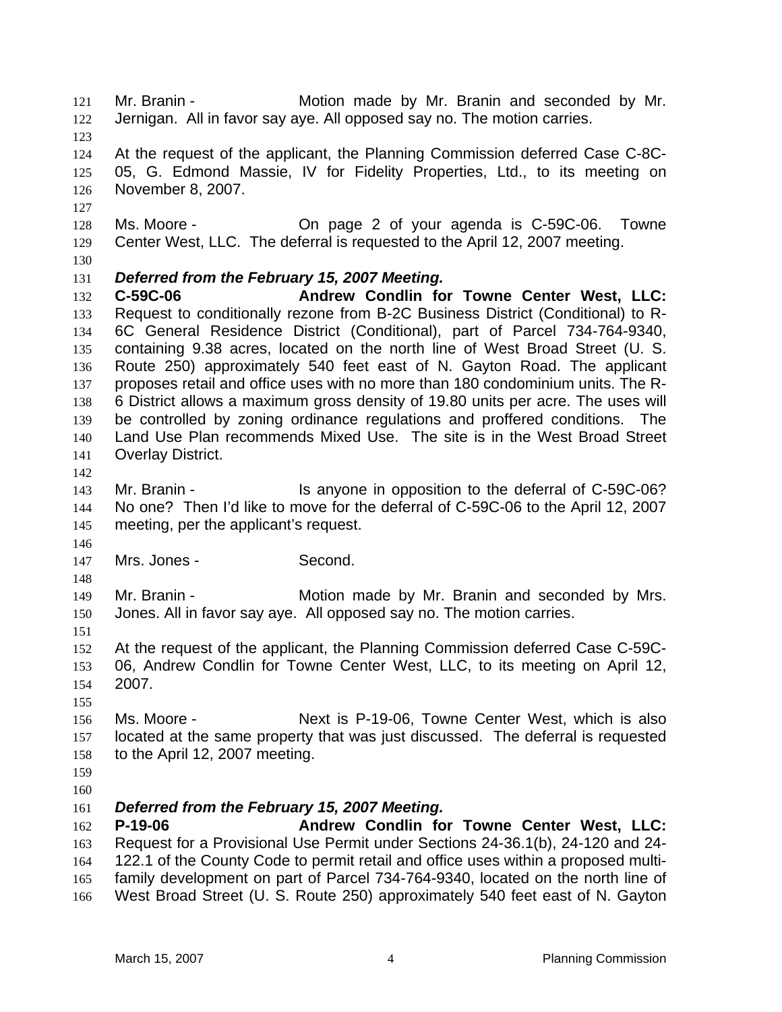Mr. Branin - Motion made by Mr. Branin and seconded by Mr. Jernigan. All in favor say aye. All opposed say no. The motion carries. At the request of the applicant, the Planning Commission deferred Case C-8C-05, G. Edmond Massie, IV for Fidelity Properties, Ltd., to its meeting on November 8, 2007. Ms. Moore - On page 2 of your agenda is C-59C-06. Towne Center West, LLC. The deferral is requested to the April 12, 2007 meeting. *Deferred from the February 15, 2007 Meeting.*  **C-59C-06 Andrew Condlin for Towne Center West, LLC:** Request to conditionally rezone from B-2C Business District (Conditional) to R-6C General Residence District (Conditional), part of Parcel 734-764-9340, containing 9.38 acres, located on the north line of West Broad Street (U. S. Route 250) approximately 540 feet east of N. Gayton Road. The applicant proposes retail and office uses with no more than 180 condominium units. The R-6 District allows a maximum gross density of 19.80 units per acre. The uses will be controlled by zoning ordinance regulations and proffered conditions. The Land Use Plan recommends Mixed Use. The site is in the West Broad Street Overlay District. Mr. Branin - Is anyone in opposition to the deferral of C-59C-06? No one? Then I'd like to move for the deferral of C-59C-06 to the April 12, 2007 meeting, per the applicant's request. Mrs. Jones - Second. Mr. Branin - Motion made by Mr. Branin and seconded by Mrs. Jones. All in favor say aye. All opposed say no. The motion carries. At the request of the applicant, the Planning Commission deferred Case C-59C-06, Andrew Condlin for Towne Center West, LLC, to its meeting on April 12, 2007. Ms. Moore - Next is P-19-06, Towne Center West, which is also located at the same property that was just discussed. The deferral is requested to the April 12, 2007 meeting. *Deferred from the February 15, 2007 Meeting.*  **P-19-06 Andrew Condlin for Towne Center West, LLC:** Request for a Provisional Use Permit under Sections 24-36.1(b), 24-120 and 24- 122.1 of the County Code to permit retail and office uses within a proposed multi-family development on part of Parcel 734-764-9340, located on the north line of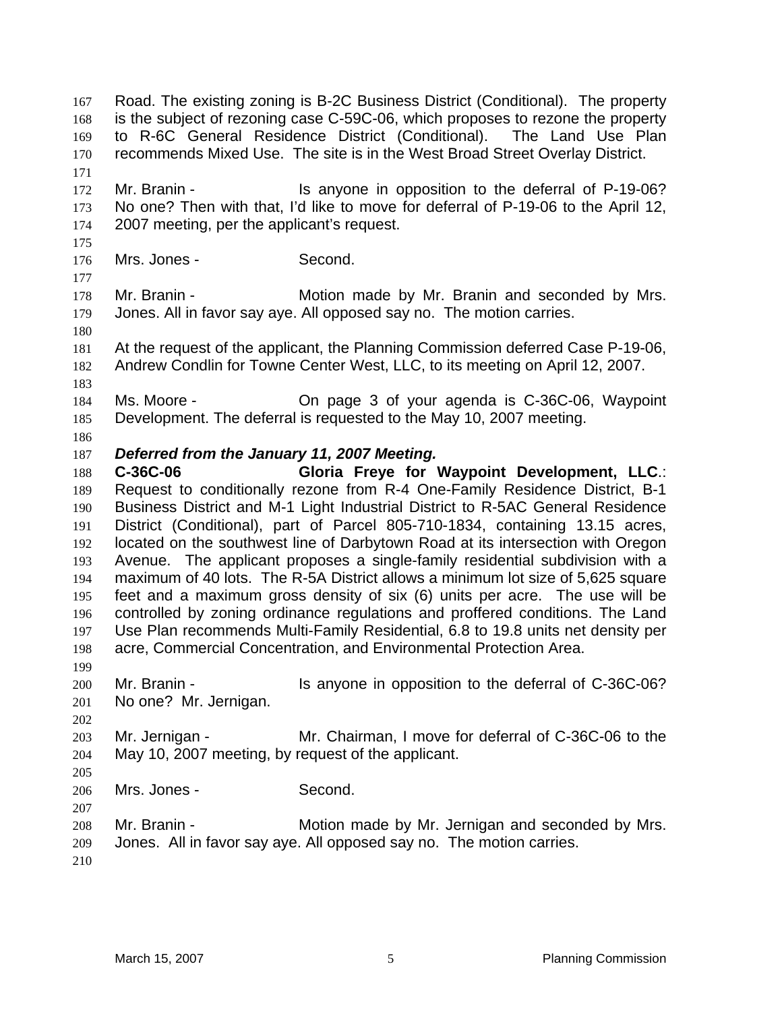Road. The existing zoning is B-2C Business District (Conditional). The property is the subject of rezoning case C-59C-06, which proposes to rezone the property to R-6C General Residence District (Conditional). The Land Use Plan recommends Mixed Use. The site is in the West Broad Street Overlay District. 172 Mr. Branin - Is anyone in opposition to the deferral of P-19-06? No one? Then with that, I'd like to move for deferral of P-19-06 to the April 12, 2007 meeting, per the applicant's request. Mrs. Jones - Second. 178 Mr. Branin - Motion made by Mr. Branin and seconded by Mrs. Jones. All in favor say aye. All opposed say no. The motion carries. At the request of the applicant, the Planning Commission deferred Case P-19-06, Andrew Condlin for Towne Center West, LLC, to its meeting on April 12, 2007. Ms. Moore - On page 3 of your agenda is C-36C-06, Waypoint Development. The deferral is requested to the May 10, 2007 meeting. *Deferred from the January 11, 2007 Meeting.*  **C-36C-06 Gloria Freye for Waypoint Development, LLC**.: Request to conditionally rezone from R-4 One-Family Residence District, B-1 Business District and M-1 Light Industrial District to R-5AC General Residence District (Conditional), part of Parcel 805-710-1834, containing 13.15 acres, located on the southwest line of Darbytown Road at its intersection with Oregon Avenue. The applicant proposes a single-family residential subdivision with a maximum of 40 lots. The R-5A District allows a minimum lot size of 5,625 square feet and a maximum gross density of six (6) units per acre. The use will be controlled by zoning ordinance regulations and proffered conditions. The Land Use Plan recommends Multi-Family Residential, 6.8 to 19.8 units net density per acre, Commercial Concentration, and Environmental Protection Area. Mr. Branin - Is anyone in opposition to the deferral of C-36C-06? No one? Mr. Jernigan. Mr. Jernigan - Mr. Chairman, I move for deferral of C-36C-06 to the May 10, 2007 meeting, by request of the applicant. Mrs. Jones - Second. Mr. Branin - Motion made by Mr. Jernigan and seconded by Mrs. Jones. All in favor say aye. All opposed say no. The motion carries.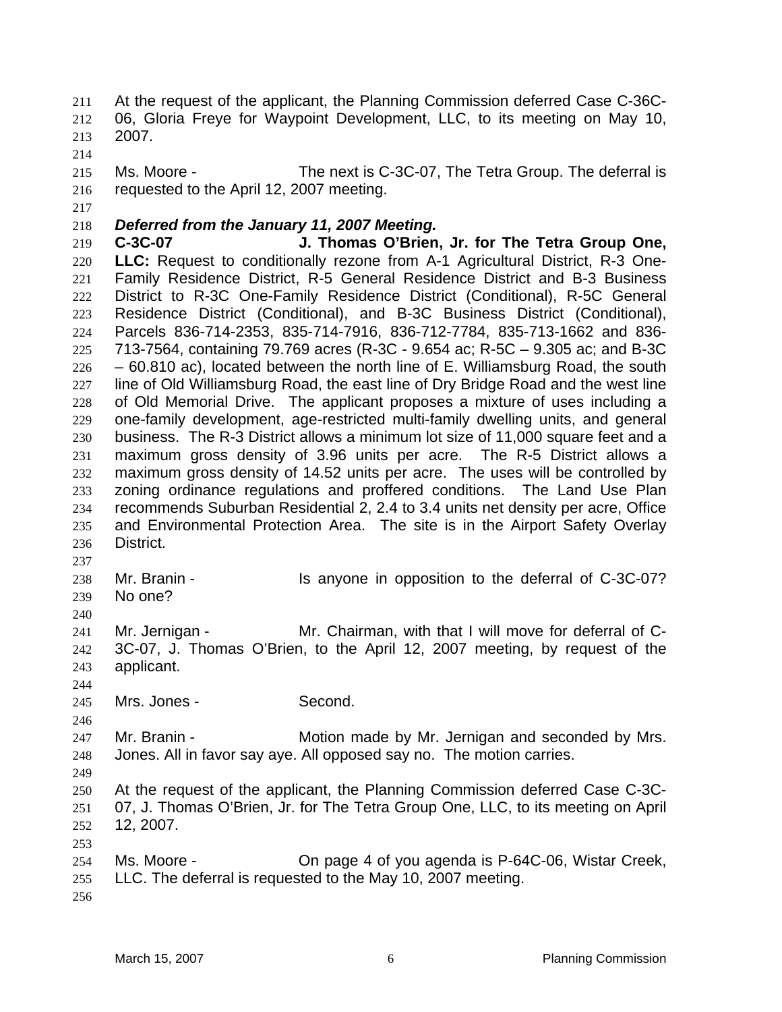At the request of the applicant, the Planning Commission deferred Case C-36C-06, Gloria Freye for Waypoint Development, LLC, to its meeting on May 10, 2007.

Ms. Moore - The next is C-3C-07, The Tetra Group. The deferral is requested to the April 12, 2007 meeting.

## *Deferred from the January 11, 2007 Meeting.*

**C-3C-07 J. Thomas O'Brien, Jr. for The Tetra Group One, LLC:** Request to conditionally rezone from A-1 Agricultural District, R-3 One-Family Residence District, R-5 General Residence District and B-3 Business District to R-3C One-Family Residence District (Conditional), R-5C General Residence District (Conditional), and B-3C Business District (Conditional), Parcels 836-714-2353, 835-714-7916, 836-712-7784, 835-713-1662 and 836- 713-7564, containing 79.769 acres (R-3C - 9.654 ac; R-5C – 9.305 ac; and B-3C  $226 - 60.810$  ac), located between the north line of E. Williamsburg Road, the south line of Old Williamsburg Road, the east line of Dry Bridge Road and the west line of Old Memorial Drive. The applicant proposes a mixture of uses including a one-family development, age-restricted multi-family dwelling units, and general business. The R-3 District allows a minimum lot size of 11,000 square feet and a maximum gross density of 3.96 units per acre. The R-5 District allows a maximum gross density of 14.52 units per acre. The uses will be controlled by zoning ordinance regulations and proffered conditions. The Land Use Plan recommends Suburban Residential 2, 2.4 to 3.4 units net density per acre, Office and Environmental Protection Area. The site is in the Airport Safety Overlay District.

- Mr. Branin - Is anyone in opposition to the deferral of C-3C-07? No one?
- 

Mr. Jernigan - Mr. Chairman, with that I will move for deferral of C-3C-07, J. Thomas O'Brien, to the April 12, 2007 meeting, by request of the applicant.

Mrs. Jones - Second.

247 Mr. Branin - **Motion made by Mr. Jernigan and seconded by Mrs.** Jones. All in favor say aye. All opposed say no. The motion carries.

At the request of the applicant, the Planning Commission deferred Case C-3C-07, J. Thomas O'Brien, Jr. for The Tetra Group One, LLC, to its meeting on April 12, 2007.

- Ms. Moore - On page 4 of you agenda is P-64C-06, Wistar Creek, LLC. The deferral is requested to the May 10, 2007 meeting.
-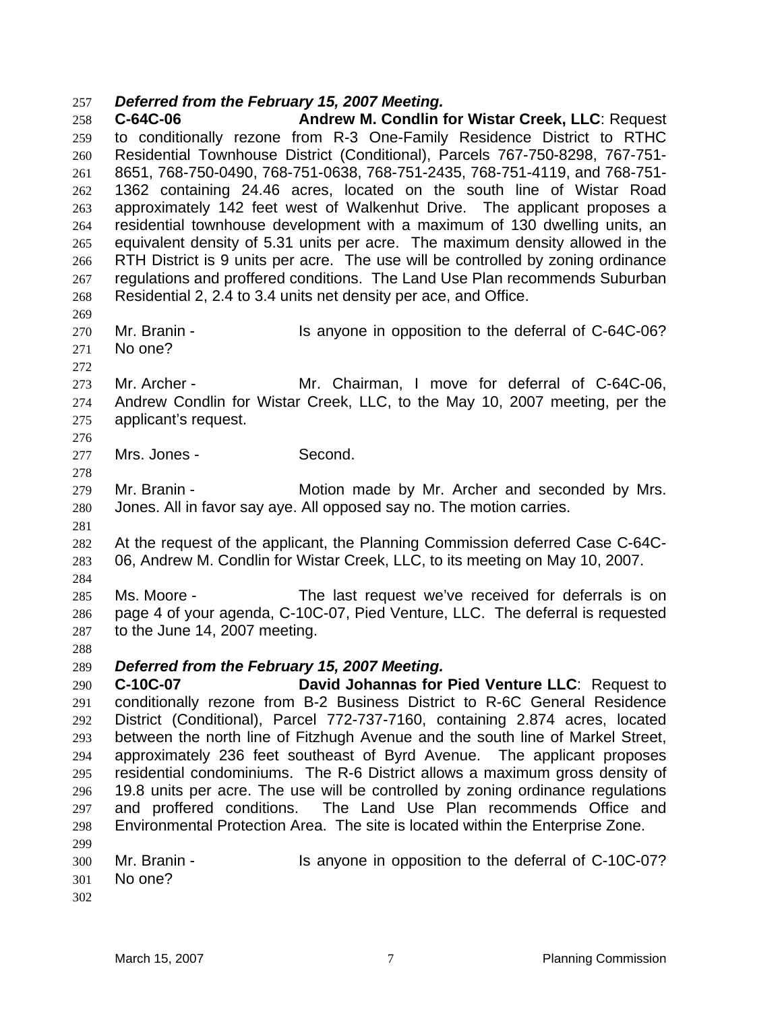## *Deferred from the February 15, 2007 Meeting.*

**C-64C-06 Andrew M. Condlin for Wistar Creek, LLC**: Request to conditionally rezone from R-3 One-Family Residence District to RTHC Residential Townhouse District (Conditional), Parcels 767-750-8298, 767-751- 8651, 768-750-0490, 768-751-0638, 768-751-2435, 768-751-4119, and 768-751- 1362 containing 24.46 acres, located on the south line of Wistar Road approximately 142 feet west of Walkenhut Drive. The applicant proposes a residential townhouse development with a maximum of 130 dwelling units, an equivalent density of 5.31 units per acre. The maximum density allowed in the RTH District is 9 units per acre. The use will be controlled by zoning ordinance regulations and proffered conditions. The Land Use Plan recommends Suburban Residential 2, 2.4 to 3.4 units net density per ace, and Office. 

- Mr. Branin Is anyone in opposition to the deferral of C-64C-06? No one?
- 

Mr. Archer - Mr. Chairman, I move for deferral of C-64C-06, Andrew Condlin for Wistar Creek, LLC, to the May 10, 2007 meeting, per the applicant's request. 

Mrs. Jones - Second.

Mr. Branin - Motion made by Mr. Archer and seconded by Mrs. Jones. All in favor say aye. All opposed say no. The motion carries.

- At the request of the applicant, the Planning Commission deferred Case C-64C-06, Andrew M. Condlin for Wistar Creek, LLC, to its meeting on May 10, 2007.
- 

Ms. Moore - The last request we've received for deferrals is on page 4 of your agenda, C-10C-07, Pied Venture, LLC. The deferral is requested to the June 14, 2007 meeting.

*Deferred from the February 15, 2007 Meeting.* 

**C-10C-07 David Johannas for Pied Venture LLC**: Request to conditionally rezone from B-2 Business District to R-6C General Residence District (Conditional), Parcel 772-737-7160, containing 2.874 acres, located between the north line of Fitzhugh Avenue and the south line of Markel Street, approximately 236 feet southeast of Byrd Avenue. The applicant proposes residential condominiums. The R-6 District allows a maximum gross density of 19.8 units per acre. The use will be controlled by zoning ordinance regulations and proffered conditions. The Land Use Plan recommends Office and Environmental Protection Area. The site is located within the Enterprise Zone. 

Mr. Branin - Is anyone in opposition to the deferral of C-10C-07? No one?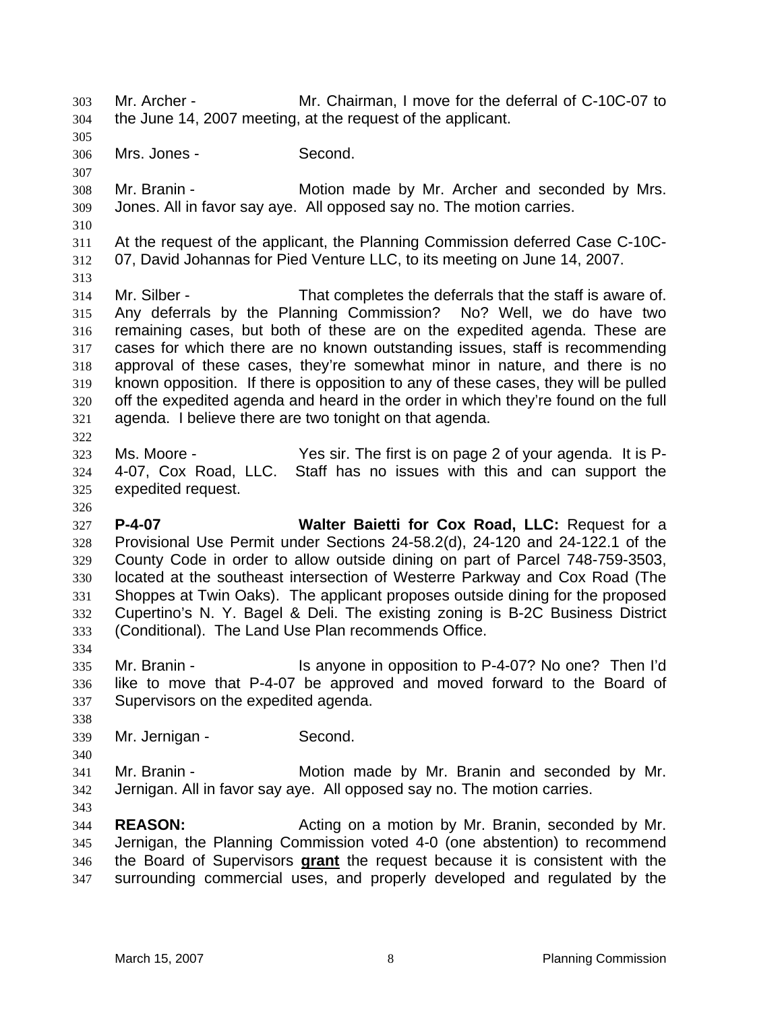Mr. Archer - Mr. Chairman, I move for the deferral of C-10C-07 to the June 14, 2007 meeting, at the request of the applicant. Mrs. Jones - Second. Mr. Branin - Motion made by Mr. Archer and seconded by Mrs. Jones. All in favor say aye. All opposed say no. The motion carries. At the request of the applicant, the Planning Commission deferred Case C-10C-07, David Johannas for Pied Venture LLC, to its meeting on June 14, 2007. Mr. Silber - That completes the deferrals that the staff is aware of. Any deferrals by the Planning Commission? No? Well, we do have two remaining cases, but both of these are on the expedited agenda. These are cases for which there are no known outstanding issues, staff is recommending approval of these cases, they're somewhat minor in nature, and there is no known opposition. If there is opposition to any of these cases, they will be pulled off the expedited agenda and heard in the order in which they're found on the full agenda. I believe there are two tonight on that agenda. Ms. Moore - Yes sir. The first is on page 2 of your agenda. It is P-4-07, Cox Road, LLC. Staff has no issues with this and can support the expedited request. **P-4-07 Walter Baietti for Cox Road, LLC:** Request for a Provisional Use Permit under Sections 24-58.2(d), 24-120 and 24-122.1 of the County Code in order to allow outside dining on part of Parcel 748-759-3503, located at the southeast intersection of Westerre Parkway and Cox Road (The Shoppes at Twin Oaks). The applicant proposes outside dining for the proposed Cupertino's N. Y. Bagel & Deli. The existing zoning is B-2C Business District (Conditional). The Land Use Plan recommends Office. Mr. Branin - Is anyone in opposition to P-4-07? No one? Then I'd like to move that P-4-07 be approved and moved forward to the Board of Supervisors on the expedited agenda. Mr. Jernigan - Second. Mr. Branin - Motion made by Mr. Branin and seconded by Mr. Jernigan. All in favor say aye. All opposed say no. The motion carries. **REASON:** Acting on a motion by Mr. Branin, seconded by Mr. Jernigan, the Planning Commission voted 4-0 (one abstention) to recommend the Board of Supervisors **grant** the request because it is consistent with the surrounding commercial uses, and properly developed and regulated by the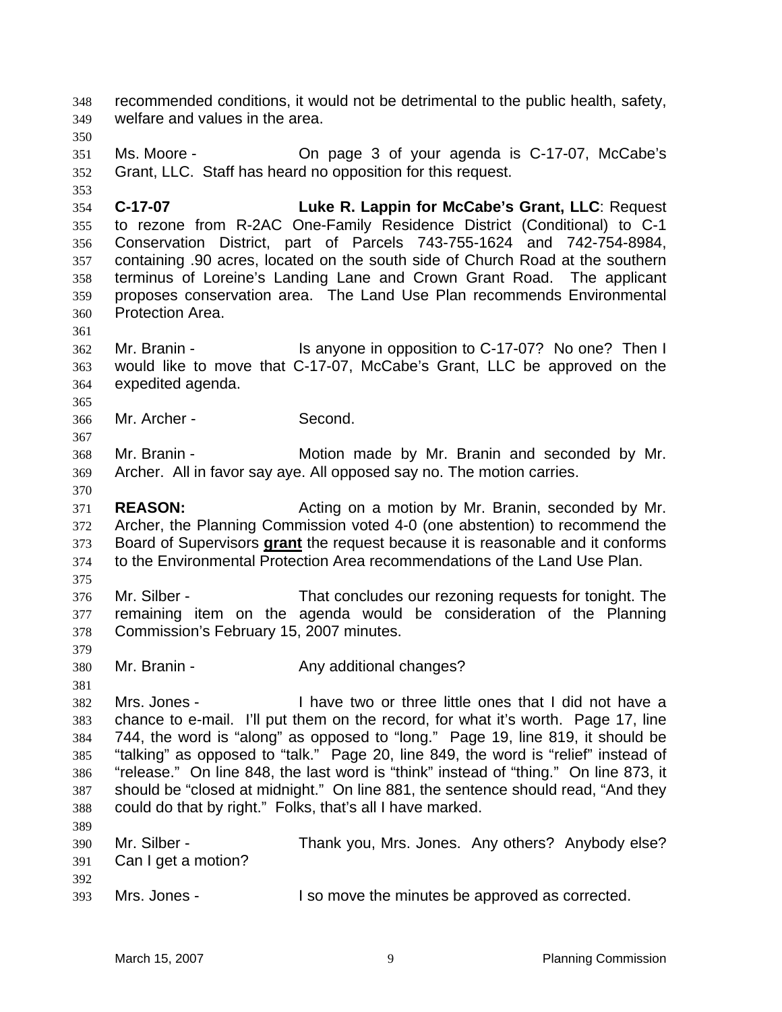recommended conditions, it would not be detrimental to the public health, safety, welfare and values in the area. Ms. Moore - On page 3 of your agenda is C-17-07, McCabe's Grant, LLC. Staff has heard no opposition for this request. **C-17-07 Luke R. Lappin for McCabe's Grant, LLC**: Request to rezone from R-2AC One-Family Residence District (Conditional) to C-1 Conservation District, part of Parcels 743-755-1624 and 742-754-8984, containing .90 acres, located on the south side of Church Road at the southern terminus of Loreine's Landing Lane and Crown Grant Road. The applicant proposes conservation area. The Land Use Plan recommends Environmental Protection Area. Mr. Branin - Is anyone in opposition to C-17-07? No one? Then I would like to move that C-17-07, McCabe's Grant, LLC be approved on the expedited agenda. Mr. Archer - Second. Mr. Branin - Motion made by Mr. Branin and seconded by Mr. Archer. All in favor say aye. All opposed say no. The motion carries. **REASON:** Acting on a motion by Mr. Branin, seconded by Mr. Archer, the Planning Commission voted 4-0 (one abstention) to recommend the Board of Supervisors **grant** the request because it is reasonable and it conforms to the Environmental Protection Area recommendations of the Land Use Plan. Mr. Silber - That concludes our rezoning requests for tonight. The remaining item on the agenda would be consideration of the Planning Commission's February 15, 2007 minutes. 380 Mr. Branin - **Any additional changes?**  Mrs. Jones - I have two or three little ones that I did not have a chance to e-mail. I'll put them on the record, for what it's worth. Page 17, line 744, the word is "along" as opposed to "long." Page 19, line 819, it should be "talking" as opposed to "talk." Page 20, line 849, the word is "relief" instead of "release." On line 848, the last word is "think" instead of "thing." On line 873, it should be "closed at midnight." On line 881, the sentence should read, "And they could do that by right." Folks, that's all I have marked. Mr. Silber - Thank you, Mrs. Jones. Any others? Anybody else? Can I get a motion? Mrs. Jones - I so move the minutes be approved as corrected.